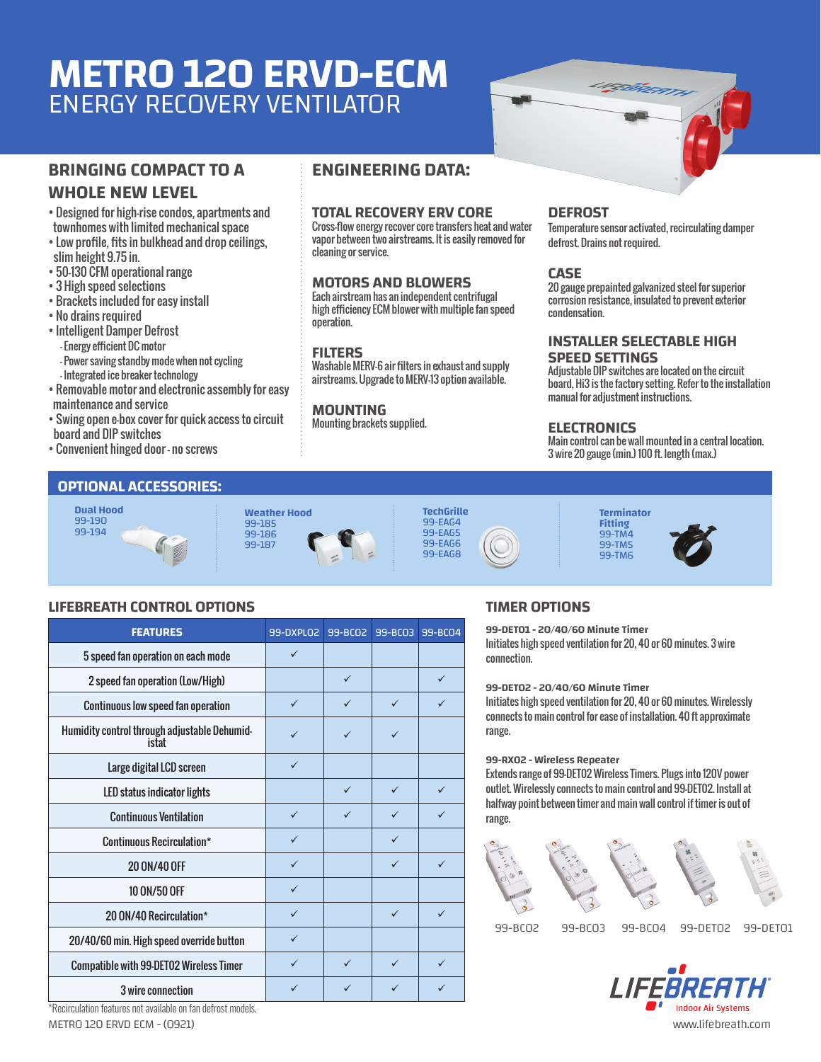# **METRO 120 ERVD-ECM** ENERGY RECOVERY VENTILATOR

### **BRINGING COMPACT TO A WHOLE NEW LEVEL**

- Designed for high-rise condos, apartments and townhomes with limited mechanical space
- Low profile, fits in bulkhead and drop ceilings, slim height 9.75 in.
- 50-130 CFM operational range
- 3 High speed selections
- Brackets included for easy install
- No drains required
- Intelligent Damper Defrost - Energy efficient DC motor - Power saving standby mode when not cycling
- Integrated ice breaker technology
- Removable motor and electronic assembly for easy maintenance and service
- Swing open e-box cover for quick access to circuit board and DIP switches
- Convenient hinged door no screws

#### **ENGINEERING DATA:**

#### **TOTAL RECOVERY ERV CORE**

Cross-flow energy recover core transfers heat and water vapor between two airstreams. It is easily removed for cleaning or service.

#### **MOTORS AND BLOWERS**

Each airstream has an independent centrifugal high efficiency ECM blower with multiple fan speed operation.

#### **FILTERS**

Washable MERV-6 air filters in exhaust and supply airstreams. Upgrade to MERV-13 option available.

#### **MOUNTING**

Mounting brackets supplied.

#### **DEFROST**

Temperature sensor activated, recirculating damper defrost. Drains not required.

FÉRERA

#### **CASE**

20 gauge prepainted galvanized steel for superior corrosion resistance, insulated to prevent exterior condensation.

#### **INSTALLER SELECTABLE HIGH SPEED SETTINGS**

Adjustable DIP switches are located on the circuit board, Hi3 is the factory setting. Refer to the installation manual for adjustment instructions.

#### **ELECTRONICS**

Main control can be wall mounted in a central location. 3 wire 20 gauge (min.) 100 ft. length (max.)

#### **OPTIONAL ACCESSORIES:**













#### **LIFEBREATH CONTROL OPTIONS**

| <b>FEATURES</b>                                       | 99-DXPL02    | 99-BCO2      | 99-BC03      | 99-BC04      |
|-------------------------------------------------------|--------------|--------------|--------------|--------------|
| 5 speed fan operation on each mode                    | $\checkmark$ |              |              |              |
| 2 speed fan operation (Low/High)                      |              | $\checkmark$ |              | $\checkmark$ |
| <b>Continuous low speed fan operation</b>             | $\checkmark$ | ✓            | $\checkmark$ | ✓            |
| Humidity control through adjustable Dehumid-<br>istat | $\checkmark$ | ✓            | $\checkmark$ |              |
| Large digital LCD screen                              | $\checkmark$ |              |              |              |
| LED status indicator lights                           |              | $\checkmark$ | $\checkmark$ | $\checkmark$ |
| <b>Continuous Ventilation</b>                         | $\checkmark$ | ✓            | ✓            |              |
| Continuous Recirculation*                             | $\checkmark$ |              | $\checkmark$ |              |
| 20 0N/40 OFF                                          | $\checkmark$ |              | $\checkmark$ | $\checkmark$ |
| 10 ON/50 OFF                                          | $\checkmark$ |              |              |              |
| 20 ON/40 Recirculation*                               | $\checkmark$ |              | $\checkmark$ | $\checkmark$ |
| 20/40/60 min. High speed override button              | $\checkmark$ |              |              |              |
| <b>Compatible with 99-DET02 Wireless Timer</b>        | $\checkmark$ | $\checkmark$ | $\checkmark$ | $\checkmark$ |
| 3 wire connection                                     | $\checkmark$ | ✓            | $\checkmark$ |              |

#### **TIMER OPTIONS**

**99-DET01 - 20/40/60 Minute Timer** Initiates high speed ventilation for 20, 40 or 60 minutes. 3 wire connection.

**99-DET02 - 20/40/60 Minute Timer**

Initiates high speed ventilation for 20, 40 or 60 minutes. Wirelessly connects to main control for ease of installation. 40 ft approximate range.

#### **99-RX02 - Wireless Repeater**

Extends range of 99-DET02 Wireless Timers. Plugs into 120V power outlet. Wirelessly connects to main control and 99-DET02. Install at halfway point between timer and main wall control if timer is out of range.



99-BC02 99-BC03 99-BC04 99-DET02 99-DET01



\*Recirculation features not available on fan defrost models.